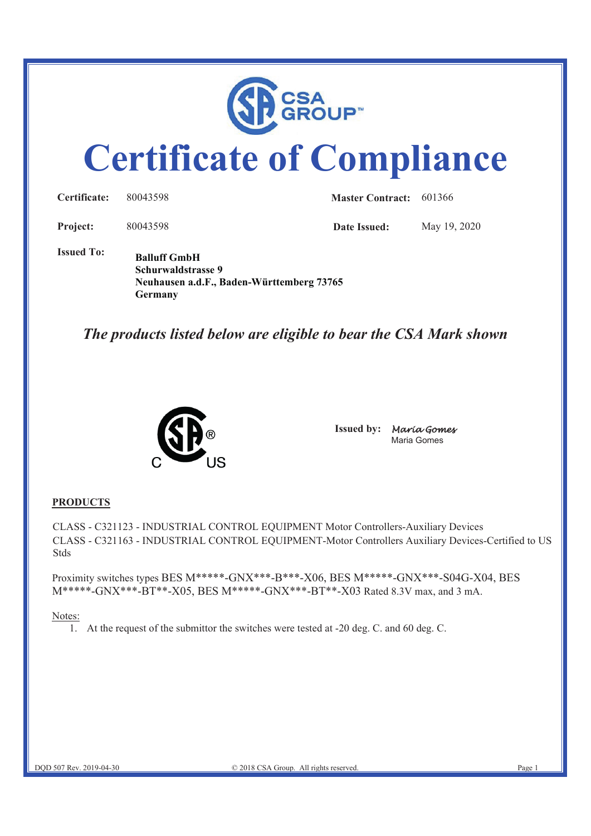

# **Certificate of Compliance**

| Certificate:      | 80043598                                                                               | <b>Master Contract:</b> 601366 |              |
|-------------------|----------------------------------------------------------------------------------------|--------------------------------|--------------|
| Project:          | 80043598                                                                               | Date Issued:                   | May 19, 2020 |
| <b>Issued To:</b> | <b>Balluff GmbH</b><br>Schurwaldstrasse 9<br>Neuhausen a.d.F., Baden-Württemberg 73765 |                                |              |

# *The products listed below are eligible to bear the CSA Mark shown*



**Germany** 

**Issued by:** Maria Gomes Maria Gomes

### **PRODUCTS**

CLASS - C321123 - INDUSTRIAL CONTROL EQUIPMENT Motor Controllers-Auxiliary Devices CLASS - C321163 - INDUSTRIAL CONTROL EQUIPMENT-Motor Controllers Auxiliary Devices-Certified to US Stds

Proximity switches types BES M\*\*\*\*\*-GNX\*\*\*-B\*\*\*-X06, BES M\*\*\*\*\*-GNX\*\*\*-S04G-X04, BES M\*\*\*\*\*-GNX\*\*\*-BT\*\*-X05, BES M\*\*\*\*\*-GNX\*\*\*-BT\*\*-X03 Rated 8.3V max, and 3 mA.

#### Notes:

1. At the request of the submittor the switches were tested at -20 deg. C. and 60 deg. C.